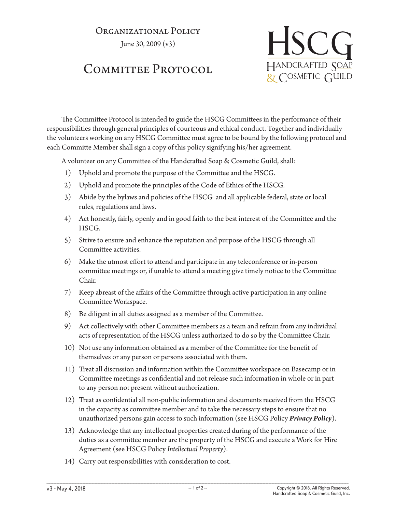## Organizational Policy

June 30, 2009 (v3)

## COMMITTEE PROTOCOL



The Committee Protocol is intended to guide the HSCG Committees in the performance of their responsibilities through general principles of courteous and ethical conduct. Together and individually the volunteers working on any HSCG Committee must agree to be bound by the following protocol and each Committe Member shall sign a copy of this policy signifying his/her agreement.

A volunteer on any Committee of the Handcrafted Soap & Cosmetic Guild, shall:

- 1) Uphold and promote the purpose of the Committee and the HSCG.
- 2) Uphold and promote the principles of the Code of Ethics of the HSCG.
- 3) Abide by the bylaws and policies of the HSCG and all applicable federal, state or local rules, regulations and laws.
- 4) Act honestly, fairly, openly and in good faith to the best interest of the Committee and the HSCG.
- 5) Strive to ensure and enhance the reputation and purpose of the HSCG through all Committee activities.
- 6) Make the utmost effort to attend and participate in any teleconference or in-person committee meetings or, if unable to attend a meeting give timely notice to the Committee Chair.
- 7) Keep abreast of the affairs of the Committee through active participation in any online Committee Workspace.
- 8) Be diligent in all duties assigned as a member of the Committee.
- 9) Act collectively with other Committee members as a team and refrain from any individual acts of representation of the HSCG unless authorized to do so by the Committee Chair.
- 10) Not use any information obtained as a member of the Committee for the benefit of themselves or any person or persons associated with them.
- 11) Treat all discussion and information within the Committee workspace on Basecamp or in Committee meetings as confidential and not release such information in whole or in part to any person not present without authorization.
- 12) Treat as confidential all non-public information and documents received from the HSCG in the capacity as committee member and to take the necessary steps to ensure that no unauthorized persons gain access to such information (see HSCG Policy *Privacy Policy*).
- 13) Acknowledge that any intellectual properties created during of the performance of the duties as a committee member are the property of the HSCG and execute a Work for Hire Agreement (see HSCG Policy *Intellectual Property*).
- 14) Carry out responsibilities with consideration to cost.